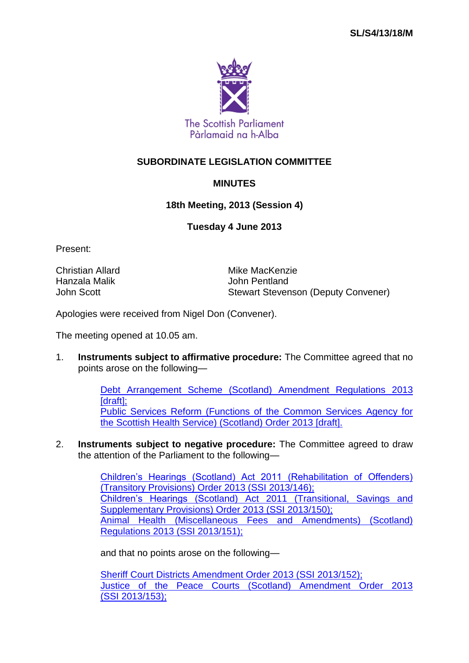

## **SUBORDINATE LEGISLATION COMMITTEE**

## **MINUTES**

## **18th Meeting, 2013 (Session 4)**

## **Tuesday 4 June 2013**

Present:

Christian Allard Mike MacKenzie Hanzala Malik John Pentland

John Scott Stewart Stevenson (Deputy Convener)

Apologies were received from Nigel Don (Convener).

The meeting opened at 10.05 am.

1. **Instruments subject to affirmative procedure:** The Committee agreed that no points arose on the following—

> [Debt Arrangement Scheme \(Scotland\) Amendment Regulations 2013](http://www.legislation.gov.uk/sdsi/2013/9780111020593)  [draft]: [Public Services Reform \(Functions of the Common Services Agency for](http://www.legislation.gov.uk/sdsi/2013/9780111020623)  [the Scottish Health Service\) \(Scotland\) Order 2013 \[draft\].](http://www.legislation.gov.uk/sdsi/2013/9780111020623)

2. **Instruments subject to negative procedure:** The Committee agreed to draw the attention of the Parliament to the following—

> [Children's Hearings \(Scotland\) Act 2011 \(Rehabilitation of Offenders\)](http://www.legislation.gov.uk/ssi/2013/146/contents/made)  [\(Transitory Provisions\) Order 2013 \(SSI](http://www.legislation.gov.uk/ssi/2013/146/contents/made) 2013/146); [Children's Hearings \(Scotland\) Act 2011 \(Transitional, Savings and](http://www.legislation.gov.uk/ssi/2013/150/contents/made)  [Supplementary Provisions\) Order 2013 \(SSI](http://www.legislation.gov.uk/ssi/2013/150/contents/made) 2013/150); [Animal Health \(Miscellaneous Fees and Amendments\) \(Scotland\)](http://www.legislation.gov.uk/ssi/2013/151/contents/made)  [Regulations 2013 \(SSI](http://www.legislation.gov.uk/ssi/2013/151/contents/made) 2013/151);

and that no points arose on the following—

[Sheriff Court Districts Amendment Order 2013 \(SSI](http://www.legislation.gov.uk/ssi/2013/152/contents/made) 2013/152); [Justice of the Peace Courts \(Scotland\) Amendment Order 2013](http://www.legislation.gov.uk/ssi/2013/153/contents/made)  (SSI [2013/153\);](http://www.legislation.gov.uk/ssi/2013/153/contents/made)